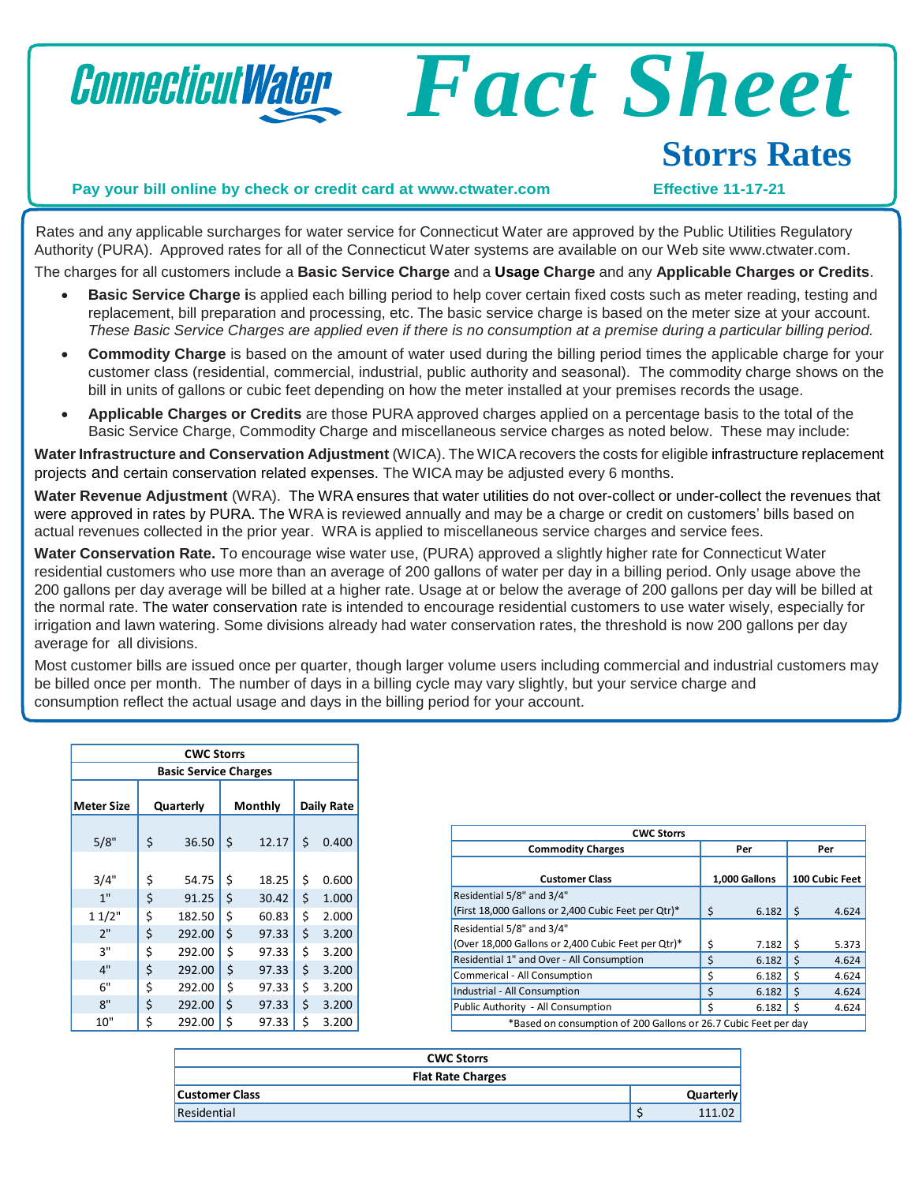

Rates and any applicable surcharges for water service for Connecticut Water are approved by the Public Utilities Regulatory Authority (PURA). Approved rates for all of the Connecticut Water systems are available on our Web site [www.ctwater.com.](http://www.ctwater.com/) The charges for all customers include a **Basic Service Charge** and a **Usage Charge** and any **Applicable Charges or Credits**.

- **Basic Service Charge i**s applied each billing period to help cover certain fixed costs such as meter reading, testing and replacement, bill preparation and processing, etc. The basic service charge is based on the meter size at your account. These Basic Service Charges are applied even if there is no consumption at a premise during a particular billing period.
- **Commodity Charge** is based on the amount of water used during the billing period times the applicable charge for your customer class (residential, commercial, industrial, public authority and seasonal). The commodity charge shows on the bill in units of gallons or cubic feet depending on how the meter installed at your premises records the usage.
- **Applicable Charges or Credits** are those PURA approved charges applied on a percentage basis to the total of the Basic Service Charge, Commodity Charge and miscellaneous service charges as noted below. These may include:

**Water Infrastructure and Conservation Adjustment** (WICA). The WICArecovers the costs for eligible infrastructure replacement projects and certain conservation related expenses. The WICA may be adjusted every 6 months.

**Water Revenue Adjustment** (WRA). The WRA ensures that water utilities do not over-collect or under-collect the revenues that were approved in rates by PURA. The WRA is reviewed annually and may be a charge or credit on customers' bills based on actual revenues collected in the prior year. WRA is applied to miscellaneous service charges and service fees.

**Water Conservation Rate.** To encourage wise water use, (PURA) approved a slightly higher rate for Connecticut Water residential customers who use more than an average of 200 gallons of water per day in a billing period. Only usage above the 200 gallons per day average will be billed at a higher rate. Usage at or below the average of 200 gallons per day will be billed at the normal rate. The water conservation rate is intended to encourage residential customers to use water wisely, especially for irrigation and lawn watering. Some divisions already had water conservation rates, the threshold is now 200 gallons per day average for all divisions.

Most customer bills are issued once per quarter, though larger volume users including commercial and industrial customers may be billed once per month. The number of days in a billing cycle may vary slightly, but your service charge and consumption reflect the actual usage and days in the billing period for your account.

| <b>CWC Storrs</b>            |           |        |         |       |            |       |
|------------------------------|-----------|--------|---------|-------|------------|-------|
| <b>Basic Service Charges</b> |           |        |         |       |            |       |
| <b>Meter Size</b>            | Quarterly |        | Monthly |       | Daily Rate |       |
| 5/8"                         | \$        | 36.50  | \$      | 12.17 | \$         | 0.400 |
| 3/4"                         | \$        | 54.75  | \$      | 18.25 | \$         | 0.600 |
| 1"                           | \$        | 91.25  | \$      | 30.42 | \$         | 1.000 |
| 11/2"                        | \$        | 182.50 | \$      | 60.83 | \$         | 2.000 |
| 2"                           | \$        | 292.00 | \$      | 97.33 | \$         | 3.200 |
| 3"                           | \$        | 292.00 | \$      | 97.33 | \$         | 3.200 |
| 4"                           | \$        | 292.00 | \$      | 97.33 | \$         | 3.200 |
| 6"                           | \$        | 292.00 | \$      | 97.33 | \$         | 3.200 |
| 8"                           | \$        | 292.00 | \$      | 97.33 | \$         | 3.200 |
| 10"                          | \$        | 292.00 | \$      | 97.33 | \$         | 3.200 |

| <b>CWC Storrs</b>                                               |    |               |    |                |  |
|-----------------------------------------------------------------|----|---------------|----|----------------|--|
| <b>Commodity Charges</b>                                        |    | Per           |    | Per            |  |
| <b>Customer Class</b>                                           |    | 1,000 Gallons |    | 100 Cubic Feet |  |
| Residential 5/8" and 3/4"                                       |    |               |    |                |  |
| (First 18,000 Gallons or 2,400 Cubic Feet per Qtr)*             | Ś  | 6.182         | Ŝ. | 4.624          |  |
| Residential 5/8" and 3/4"                                       |    |               |    |                |  |
| (Over 18,000 Gallons or 2,400 Cubic Feet per Qtr)*              | Ś  | 7.182         | Ŝ  | 5.373          |  |
| Residential 1" and Over - All Consumption                       | \$ | 6.182         | \$ | 4.624          |  |
| Commerical - All Consumption                                    | \$ | 6.182         | Ś  | 4.624          |  |
| Industrial - All Consumption                                    | Ś  | 6.182         | Ŝ. | 4.624          |  |
| Public Authority - All Consumption                              |    | 6.182         | Ś  | 4.624          |  |
| *Based on consumption of 200 Gallons or 26.7 Cubic Feet per day |    |               |    |                |  |

| <b>CWC Storrs</b>        |  |                  |
|--------------------------|--|------------------|
| <b>Flat Rate Charges</b> |  |                  |
| <b>Customer Class</b>    |  | <b>Quarterly</b> |
| Residential              |  |                  |